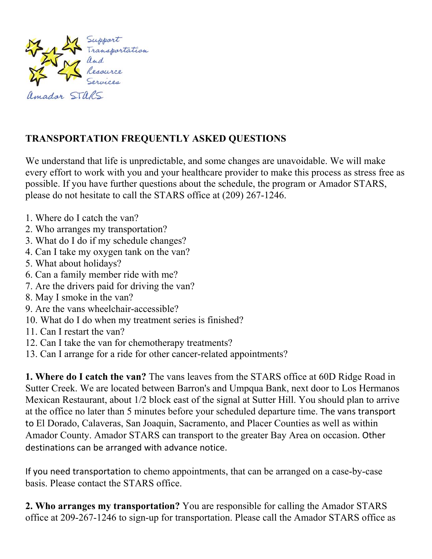

## **TRANSPORTATION FREQUENTLY ASKED QUESTIONS**

We understand that life is unpredictable, and some changes are unavoidable. We will make every effort to work with you and your healthcare provider to make this process as stress free as possible. If you have further questions about the schedule, the program or Amador STARS, please do not hesitate to call the STARS office at (209) 267-1246.

- 1. Where do I catch the van?
- 2. Who arranges my transportation?
- 3. What do I do if my schedule changes?
- 4. Can I take my oxygen tank on the van?
- 5. What about holidays?
- 6. Can a family member ride with me?
- 7. Are the drivers paid for driving the van?
- 8. May I smoke in the van?
- 9. Are the vans wheelchair-accessible?
- 10. What do I do when my treatment series is finished?
- 11. Can I restart the van?
- 12. Can I take the van for chemotherapy treatments?
- 13. Can I arrange for a ride for other cancer-related appointments?

**1. Where do I catch the van?** The vans leaves from the STARS office at 60D Ridge Road in Sutter Creek. We are located between Barron's and Umpqua Bank, next door to Los Hermanos Mexican Restaurant, about 1/2 block east of the signal at Sutter Hill. You should plan to arrive at the office no later than 5 minutes before your scheduled departure time. The vans transport to El Dorado, Calaveras, San Joaquin, Sacramento, and Placer Counties as well as within Amador County. Amador STARS can transport to the greater Bay Area on occasion. Other destinations can be arranged with advance notice.

If you need transportation to chemo appointments, that can be arranged on a case-by-case basis. Please contact the STARS office.

**2. Who arranges my transportation?** You are responsible for calling the Amador STARS office at 209-267-1246 to sign-up for transportation. Please call the Amador STARS office as